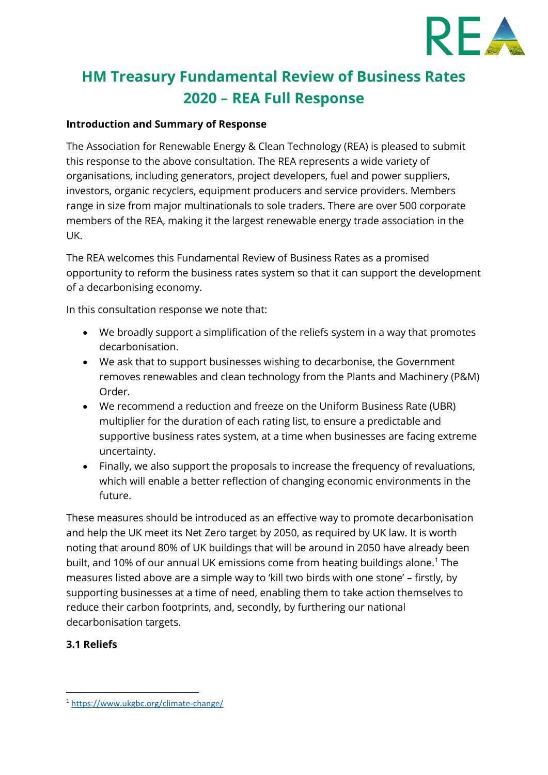

# **HM Treasury Fundamental Review of Business Rates 2020 – REA Full Response**

#### **Introduction and Summary of Response**

The Association for Renewable Energy & Clean Technology (REA) is pleased to submit this response to the above consultation. The REA represents a wide variety of organisations, including generators, project developers, fuel and power suppliers, investors, organic recyclers, equipment producers and service providers. Members range in size from major multinationals to sole traders. There are over 500 corporate members of the REA, making it the largest renewable energy trade association in the UK.

The REA welcomes this Fundamental Review of Business Rates as a promised opportunity to reform the business rates system so that it can support the development of a decarbonising economy.

In this consultation response we note that:

- We broadly support a simplification of the reliefs system in a way that promotes decarbonisation.
- We ask that to support businesses wishing to decarbonise, the Government removes renewables and clean technology from the Plants and Machinery (P&M) Order.
- We recommend a reduction and freeze on the Uniform Business Rate (UBR) multiplier for the duration of each rating list, to ensure a predictable and supportive business rates system, at a time when businesses are facing extreme uncertainty.
- Finally, we also support the proposals to increase the frequency of revaluations, which will enable a better reflection of changing economic environments in the future.

These measures should be introduced as an effective way to promote decarbonisation and help the UK meet its Net Zero target by 2050, as required by UK law. It is worth noting that around 80% of UK buildings that will be around in 2050 have already been built, and 10% of our annual UK emissions come from heating buildings alone.<sup>1</sup> The measures listed above are a simple way to 'kill two birds with one stone' – firstly, by supporting businesses at a time of need, enabling them to take action themselves to reduce their carbon footprints, and, secondly, by furthering our national decarbonisation targets.

#### **3.1 Reliefs**

<sup>1</sup> <https://www.ukgbc.org/climate-change/>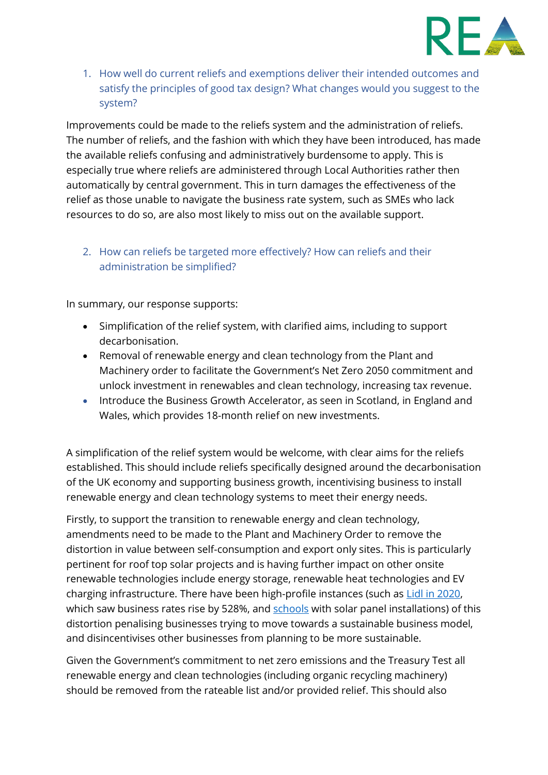

1. How well do current reliefs and exemptions deliver their intended outcomes and satisfy the principles of good tax design? What changes would you suggest to the system?

Improvements could be made to the reliefs system and the administration of reliefs. The number of reliefs, and the fashion with which they have been introduced, has made the available reliefs confusing and administratively burdensome to apply. This is especially true where reliefs are administered through Local Authorities rather then automatically by central government. This in turn damages the effectiveness of the relief as those unable to navigate the business rate system, such as SMEs who lack resources to do so, are also most likely to miss out on the available support.

2. How can reliefs be targeted more effectively? How can reliefs and their administration be simplified?

In summary, our response supports:

- Simplification of the relief system, with clarified aims, including to support decarbonisation.
- Removal of renewable energy and clean technology from the Plant and Machinery order to facilitate the Government's Net Zero 2050 commitment and unlock investment in renewables and clean technology, increasing tax revenue.
- Introduce the Business Growth Accelerator, as seen in Scotland, in England and Wales, which provides 18-month relief on new investments.

A simplification of the relief system would be welcome, with clear aims for the reliefs established. This should include reliefs specifically designed around the decarbonisation of the UK economy and supporting business growth, incentivising business to install renewable energy and clean technology systems to meet their energy needs.

Firstly, to support the transition to renewable energy and clean technology, amendments need to be made to the Plant and Machinery Order to remove the distortion in value between self-consumption and export only sites. This is particularly pertinent for roof top solar projects and is having further impact on other onsite renewable technologies include energy storage, renewable heat technologies and EV charging infrastructure. There have been high-profile instances (such as [Lidl in 2020,](https://www.solarpowerportal.co.uk/news/lidl_sees_business_rates_jump_528_due_to_solar_valuation) which saw business rates rise by 528%, and [schools](https://www.theguardian.com/environment/2017/mar/06/solar-powered-schools-bill-business-rates-rise-england-wales) with solar panel installations) of this distortion penalising businesses trying to move towards a sustainable business model, and disincentivises other businesses from planning to be more sustainable.

Given the Government's commitment to net zero emissions and the Treasury Test all renewable energy and clean technologies (including organic recycling machinery) should be removed from the rateable list and/or provided relief. This should also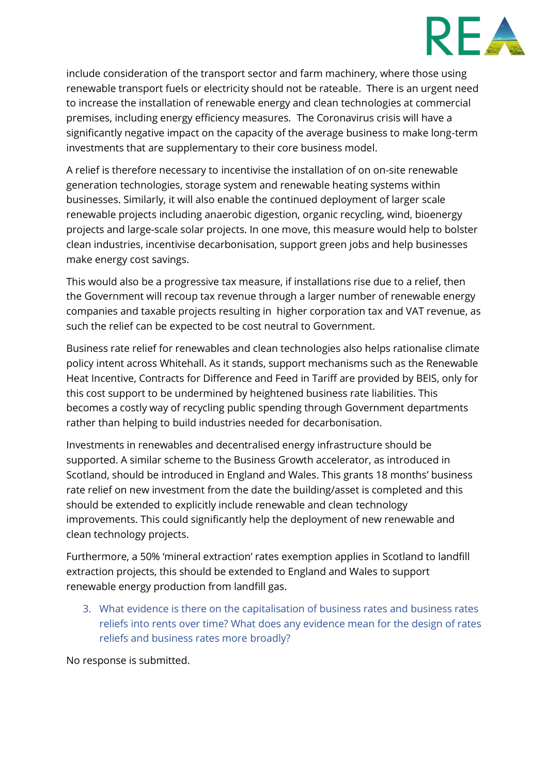

include consideration of the transport sector and farm machinery, where those using renewable transport fuels or electricity should not be rateable. There is an urgent need to increase the installation of renewable energy and clean technologies at commercial premises, including energy efficiency measures. The Coronavirus crisis will have a significantly negative impact on the capacity of the average business to make long-term investments that are supplementary to their core business model.

A relief is therefore necessary to incentivise the installation of on on-site renewable generation technologies, storage system and renewable heating systems within businesses. Similarly, it will also enable the continued deployment of larger scale renewable projects including anaerobic digestion, organic recycling, wind, bioenergy projects and large-scale solar projects. In one move, this measure would help to bolster clean industries, incentivise decarbonisation, support green jobs and help businesses make energy cost savings.

This would also be a progressive tax measure, if installations rise due to a relief, then the Government will recoup tax revenue through a larger number of renewable energy companies and taxable projects resulting in higher corporation tax and VAT revenue, as such the relief can be expected to be cost neutral to Government.

Business rate relief for renewables and clean technologies also helps rationalise climate policy intent across Whitehall. As it stands, support mechanisms such as the Renewable Heat Incentive, Contracts for Difference and Feed in Tariff are provided by BEIS, only for this cost support to be undermined by heightened business rate liabilities. This becomes a costly way of recycling public spending through Government departments rather than helping to build industries needed for decarbonisation.

Investments in renewables and decentralised energy infrastructure should be supported. A similar scheme to the Business Growth accelerator, as introduced in Scotland, should be introduced in England and Wales. This grants 18 months' business rate relief on new investment from the date the building/asset is completed and this should be extended to explicitly include renewable and clean technology improvements. This could significantly help the deployment of new renewable and clean technology projects.

Furthermore, a 50% 'mineral extraction' rates exemption applies in Scotland to landfill extraction projects, this should be extended to England and Wales to support renewable energy production from landfill gas.

3. What evidence is there on the capitalisation of business rates and business rates reliefs into rents over time? What does any evidence mean for the design of rates reliefs and business rates more broadly?

No response is submitted.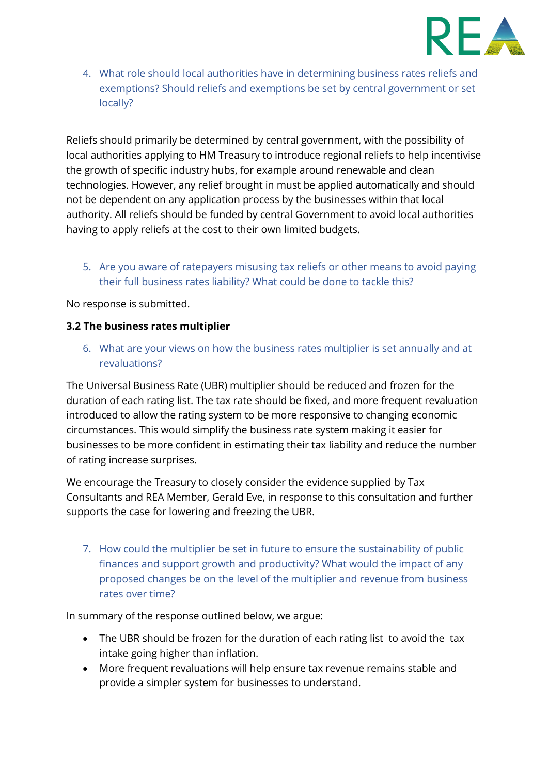

4. What role should local authorities have in determining business rates reliefs and exemptions? Should reliefs and exemptions be set by central government or set locally?

Reliefs should primarily be determined by central government, with the possibility of local authorities applying to HM Treasury to introduce regional reliefs to help incentivise the growth of specific industry hubs, for example around renewable and clean technologies. However, any relief brought in must be applied automatically and should not be dependent on any application process by the businesses within that local authority. All reliefs should be funded by central Government to avoid local authorities having to apply reliefs at the cost to their own limited budgets.

5. Are you aware of ratepayers misusing tax reliefs or other means to avoid paying their full business rates liability? What could be done to tackle this?

No response is submitted.

#### **3.2 The business rates multiplier**

6. What are your views on how the business rates multiplier is set annually and at revaluations?

The Universal Business Rate (UBR) multiplier should be reduced and frozen for the duration of each rating list. The tax rate should be fixed, and more frequent revaluation introduced to allow the rating system to be more responsive to changing economic circumstances. This would simplify the business rate system making it easier for businesses to be more confident in estimating their tax liability and reduce the number of rating increase surprises.

We encourage the Treasury to closely consider the evidence supplied by Tax Consultants and REA Member, Gerald Eve, in response to this consultation and further supports the case for lowering and freezing the UBR.

7. How could the multiplier be set in future to ensure the sustainability of public finances and support growth and productivity? What would the impact of any proposed changes be on the level of the multiplier and revenue from business rates over time?

In summary of the response outlined below, we argue:

- The UBR should be frozen for the duration of each rating list to avoid the tax intake going higher than inflation.
- More frequent revaluations will help ensure tax revenue remains stable and provide a simpler system for businesses to understand.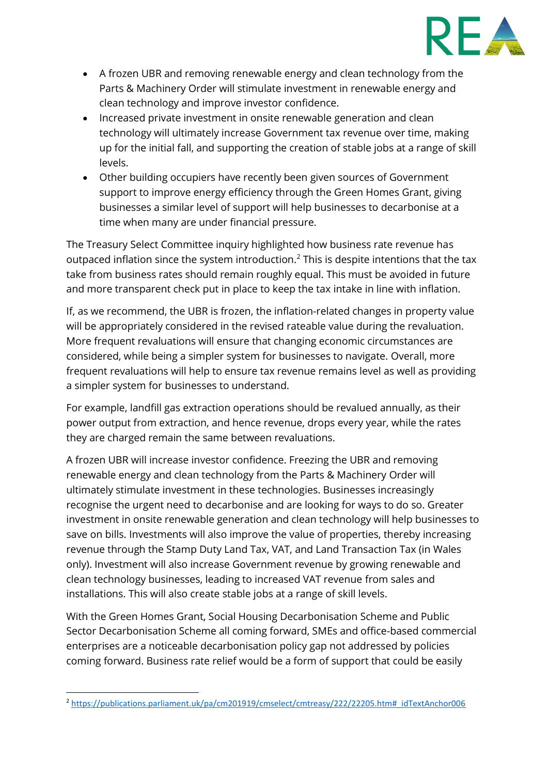

- A frozen UBR and removing renewable energy and clean technology from the Parts & Machinery Order will stimulate investment in renewable energy and clean technology and improve investor confidence.
- Increased private investment in onsite renewable generation and clean technology will ultimately increase Government tax revenue over time, making up for the initial fall, and supporting the creation of stable jobs at a range of skill levels.
- Other building occupiers have recently been given sources of Government support to improve energy efficiency through the Green Homes Grant, giving businesses a similar level of support will help businesses to decarbonise at a time when many are under financial pressure.

The Treasury Select Committee inquiry highlighted how business rate revenue has outpaced inflation since the system introduction.<sup>2</sup> This is despite intentions that the tax take from business rates should remain roughly equal. This must be avoided in future and more transparent check put in place to keep the tax intake in line with inflation.

If, as we recommend, the UBR is frozen, the inflation-related changes in property value will be appropriately considered in the revised rateable value during the revaluation. More frequent revaluations will ensure that changing economic circumstances are considered, while being a simpler system for businesses to navigate. Overall, more frequent revaluations will help to ensure tax revenue remains level as well as providing a simpler system for businesses to understand.

For example, landfill gas extraction operations should be revalued annually, as their power output from extraction, and hence revenue, drops every year, while the rates they are charged remain the same between revaluations.

A frozen UBR will increase investor confidence. Freezing the UBR and removing renewable energy and clean technology from the Parts & Machinery Order will ultimately stimulate investment in these technologies. Businesses increasingly recognise the urgent need to decarbonise and are looking for ways to do so. Greater investment in onsite renewable generation and clean technology will help businesses to save on bills. Investments will also improve the value of properties, thereby increasing revenue through the Stamp Duty Land Tax, VAT, and Land Transaction Tax (in Wales only). Investment will also increase Government revenue by growing renewable and clean technology businesses, leading to increased VAT revenue from sales and installations. This will also create stable jobs at a range of skill levels.

With the Green Homes Grant, Social Housing Decarbonisation Scheme and Public Sector Decarbonisation Scheme all coming forward, SMEs and office-based commercial enterprises are a noticeable decarbonisation policy gap not addressed by policies coming forward. Business rate relief would be a form of support that could be easily

<sup>2</sup> [https://publications.parliament.uk/pa/cm201919/cmselect/cmtreasy/222/22205.htm#\\_idTextAnchor006](https://publications.parliament.uk/pa/cm201919/cmselect/cmtreasy/222/22205.htm#_idTextAnchor006)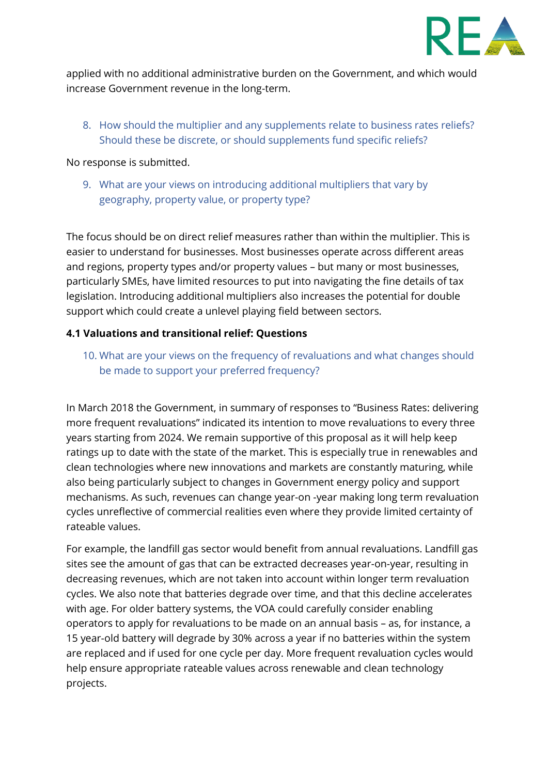

applied with no additional administrative burden on the Government, and which would increase Government revenue in the long-term.

8. How should the multiplier and any supplements relate to business rates reliefs? Should these be discrete, or should supplements fund specific reliefs?

No response is submitted.

9. What are your views on introducing additional multipliers that vary by geography, property value, or property type?

The focus should be on direct relief measures rather than within the multiplier. This is easier to understand for businesses. Most businesses operate across different areas and regions, property types and/or property values – but many or most businesses, particularly SMEs, have limited resources to put into navigating the fine details of tax legislation. Introducing additional multipliers also increases the potential for double support which could create a unlevel playing field between sectors.

#### **4.1 Valuations and transitional relief: Questions**

10. What are your views on the frequency of revaluations and what changes should be made to support your preferred frequency?

In March 2018 the Government, in summary of responses to "Business Rates: delivering more frequent revaluations" indicated its intention to move revaluations to every three years starting from 2024. We remain supportive of this proposal as it will help keep ratings up to date with the state of the market. This is especially true in renewables and clean technologies where new innovations and markets are constantly maturing, while also being particularly subject to changes in Government energy policy and support mechanisms. As such, revenues can change year-on -year making long term revaluation cycles unreflective of commercial realities even where they provide limited certainty of rateable values.

For example, the landfill gas sector would benefit from annual revaluations. Landfill gas sites see the amount of gas that can be extracted decreases year-on-year, resulting in decreasing revenues, which are not taken into account within longer term revaluation cycles. We also note that batteries degrade over time, and that this decline accelerates with age. For older battery systems, the VOA could carefully consider enabling operators to apply for revaluations to be made on an annual basis – as, for instance, a 15 year-old battery will degrade by 30% across a year if no batteries within the system are replaced and if used for one cycle per day. More frequent revaluation cycles would help ensure appropriate rateable values across renewable and clean technology projects.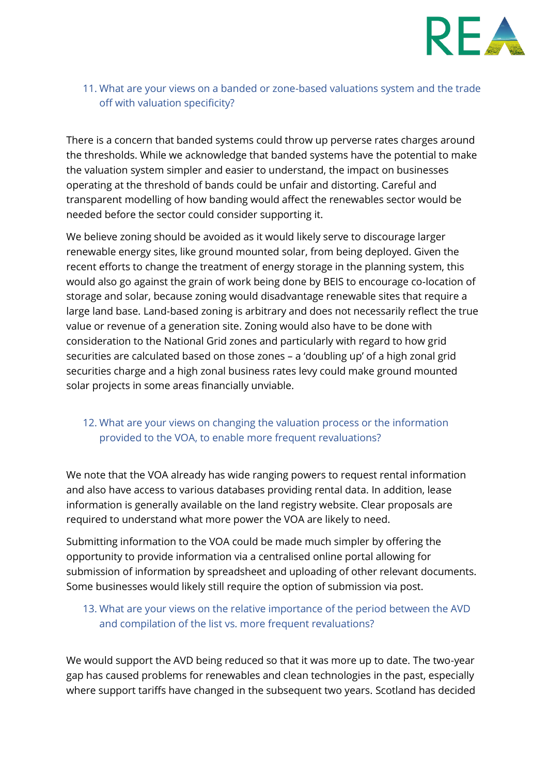

# 11. What are your views on a banded or zone-based valuations system and the trade off with valuation specificity?

There is a concern that banded systems could throw up perverse rates charges around the thresholds. While we acknowledge that banded systems have the potential to make the valuation system simpler and easier to understand, the impact on businesses operating at the threshold of bands could be unfair and distorting. Careful and transparent modelling of how banding would affect the renewables sector would be needed before the sector could consider supporting it.

We believe zoning should be avoided as it would likely serve to discourage larger renewable energy sites, like ground mounted solar, from being deployed. Given the recent efforts to change the treatment of energy storage in the planning system, this would also go against the grain of work being done by BEIS to encourage co-location of storage and solar, because zoning would disadvantage renewable sites that require a large land base. Land-based zoning is arbitrary and does not necessarily reflect the true value or revenue of a generation site. Zoning would also have to be done with consideration to the National Grid zones and particularly with regard to how grid securities are calculated based on those zones – a 'doubling up' of a high zonal grid securities charge and a high zonal business rates levy could make ground mounted solar projects in some areas financially unviable.

# 12. What are your views on changing the valuation process or the information provided to the VOA, to enable more frequent revaluations?

We note that the VOA already has wide ranging powers to request rental information and also have access to various databases providing rental data. In addition, lease information is generally available on the land registry website. Clear proposals are required to understand what more power the VOA are likely to need.

Submitting information to the VOA could be made much simpler by offering the opportunity to provide information via a centralised online portal allowing for submission of information by spreadsheet and uploading of other relevant documents. Some businesses would likely still require the option of submission via post.

# 13. What are your views on the relative importance of the period between the AVD and compilation of the list vs. more frequent revaluations?

We would support the AVD being reduced so that it was more up to date. The two-year gap has caused problems for renewables and clean technologies in the past, especially where support tariffs have changed in the subsequent two years. Scotland has decided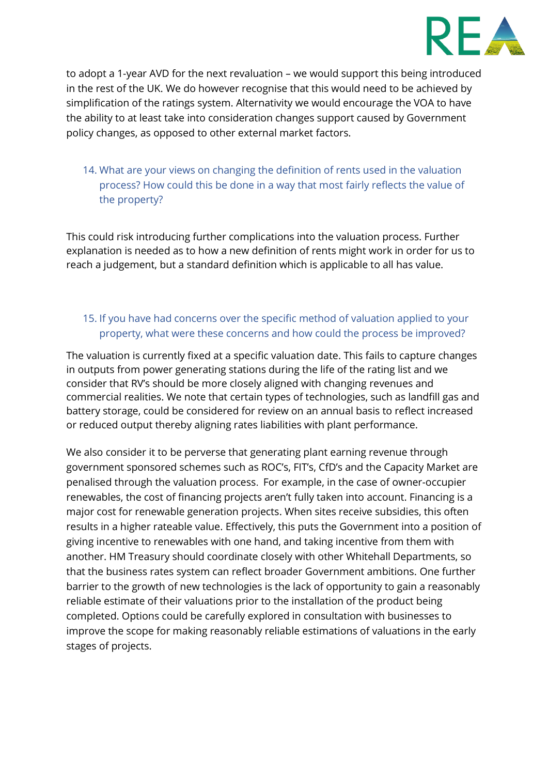

to adopt a 1-year AVD for the next revaluation – we would support this being introduced in the rest of the UK. We do however recognise that this would need to be achieved by simplification of the ratings system. Alternativity we would encourage the VOA to have the ability to at least take into consideration changes support caused by Government policy changes, as opposed to other external market factors.

# 14. What are your views on changing the definition of rents used in the valuation process? How could this be done in a way that most fairly reflects the value of the property?

This could risk introducing further complications into the valuation process. Further explanation is needed as to how a new definition of rents might work in order for us to reach a judgement, but a standard definition which is applicable to all has value.

# 15. If you have had concerns over the specific method of valuation applied to your property, what were these concerns and how could the process be improved?

The valuation is currently fixed at a specific valuation date. This fails to capture changes in outputs from power generating stations during the life of the rating list and we consider that RV's should be more closely aligned with changing revenues and commercial realities. We note that certain types of technologies, such as landfill gas and battery storage, could be considered for review on an annual basis to reflect increased or reduced output thereby aligning rates liabilities with plant performance.

We also consider it to be perverse that generating plant earning revenue through government sponsored schemes such as ROC's, FIT's, CfD's and the Capacity Market are penalised through the valuation process. For example, in the case of owner-occupier renewables, the cost of financing projects aren't fully taken into account. Financing is a major cost for renewable generation projects. When sites receive subsidies, this often results in a higher rateable value. Effectively, this puts the Government into a position of giving incentive to renewables with one hand, and taking incentive from them with another. HM Treasury should coordinate closely with other Whitehall Departments, so that the business rates system can reflect broader Government ambitions. One further barrier to the growth of new technologies is the lack of opportunity to gain a reasonably reliable estimate of their valuations prior to the installation of the product being completed. Options could be carefully explored in consultation with businesses to improve the scope for making reasonably reliable estimations of valuations in the early stages of projects.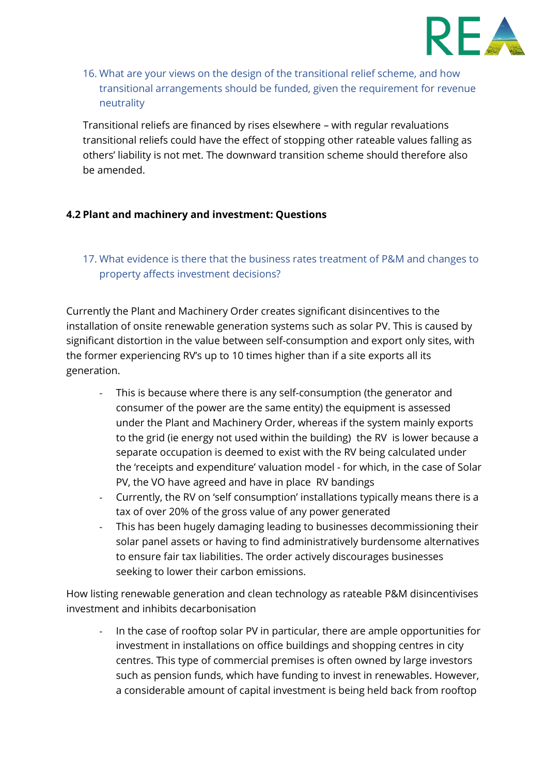

# 16. What are your views on the design of the transitional relief scheme, and how transitional arrangements should be funded, given the requirement for revenue neutrality

Transitional reliefs are financed by rises elsewhere – with regular revaluations transitional reliefs could have the effect of stopping other rateable values falling as others' liability is not met. The downward transition scheme should therefore also be amended.

#### **4.2 Plant and machinery and investment: Questions**

# 17. What evidence is there that the business rates treatment of P&M and changes to property affects investment decisions?

Currently the Plant and Machinery Order creates significant disincentives to the installation of onsite renewable generation systems such as solar PV. This is caused by significant distortion in the value between self-consumption and export only sites, with the former experiencing RV's up to 10 times higher than if a site exports all its generation.

- This is because where there is any self-consumption (the generator and consumer of the power are the same entity) the equipment is assessed under the Plant and Machinery Order, whereas if the system mainly exports to the grid (ie energy not used within the building) the RV is lower because a separate occupation is deemed to exist with the RV being calculated under the 'receipts and expenditure' valuation model - for which, in the case of Solar PV, the VO have agreed and have in place RV bandings
- Currently, the RV on 'self consumption' installations typically means there is a tax of over 20% of the gross value of any power generated
- This has been hugely damaging leading to businesses decommissioning their solar panel assets or having to find administratively burdensome alternatives to ensure fair tax liabilities. The order actively discourages businesses seeking to lower their carbon emissions.

How listing renewable generation and clean technology as rateable P&M disincentivises investment and inhibits decarbonisation

In the case of rooftop solar PV in particular, there are ample opportunities for investment in installations on office buildings and shopping centres in city centres. This type of commercial premises is often owned by large investors such as pension funds, which have funding to invest in renewables. However, a considerable amount of capital investment is being held back from rooftop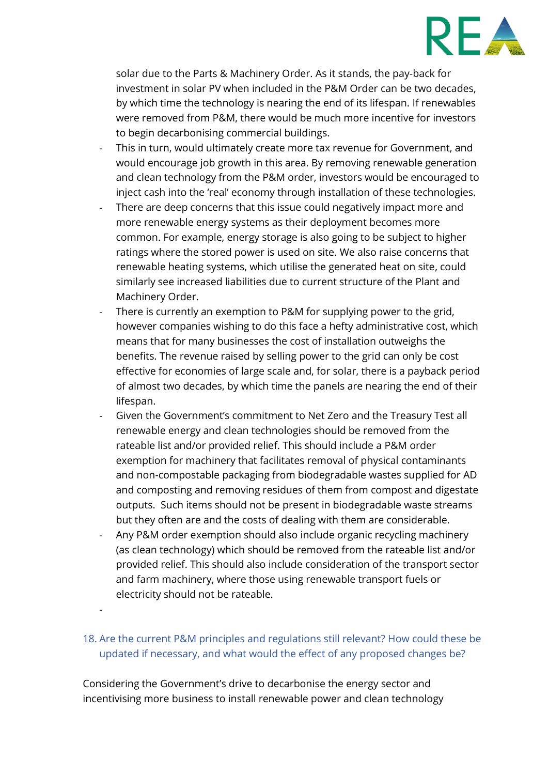

solar due to the Parts & Machinery Order. As it stands, the pay-back for investment in solar PV when included in the P&M Order can be two decades, by which time the technology is nearing the end of its lifespan. If renewables were removed from P&M, there would be much more incentive for investors to begin decarbonising commercial buildings.

- This in turn, would ultimately create more tax revenue for Government, and would encourage job growth in this area. By removing renewable generation and clean technology from the P&M order, investors would be encouraged to inject cash into the 'real' economy through installation of these technologies.
- There are deep concerns that this issue could negatively impact more and more renewable energy systems as their deployment becomes more common. For example, energy storage is also going to be subject to higher ratings where the stored power is used on site. We also raise concerns that renewable heating systems, which utilise the generated heat on site, could similarly see increased liabilities due to current structure of the Plant and Machinery Order.
- There is currently an exemption to P&M for supplying power to the grid, however companies wishing to do this face a hefty administrative cost, which means that for many businesses the cost of installation outweighs the benefits. The revenue raised by selling power to the grid can only be cost effective for economies of large scale and, for solar, there is a payback period of almost two decades, by which time the panels are nearing the end of their lifespan.
- Given the Government's commitment to Net Zero and the Treasury Test all renewable energy and clean technologies should be removed from the rateable list and/or provided relief. This should include a P&M order exemption for machinery that facilitates removal of physical contaminants and non-compostable packaging from biodegradable wastes supplied for AD and composting and removing residues of them from compost and digestate outputs. Such items should not be present in biodegradable waste streams but they often are and the costs of dealing with them are considerable.
- Any P&M order exemption should also include organic recycling machinery (as clean technology) which should be removed from the rateable list and/or provided relief. This should also include consideration of the transport sector and farm machinery, where those using renewable transport fuels or electricity should not be rateable.

# 18. Are the current P&M principles and regulations still relevant? How could these be updated if necessary, and what would the effect of any proposed changes be?

Considering the Government's drive to decarbonise the energy sector and incentivising more business to install renewable power and clean technology

-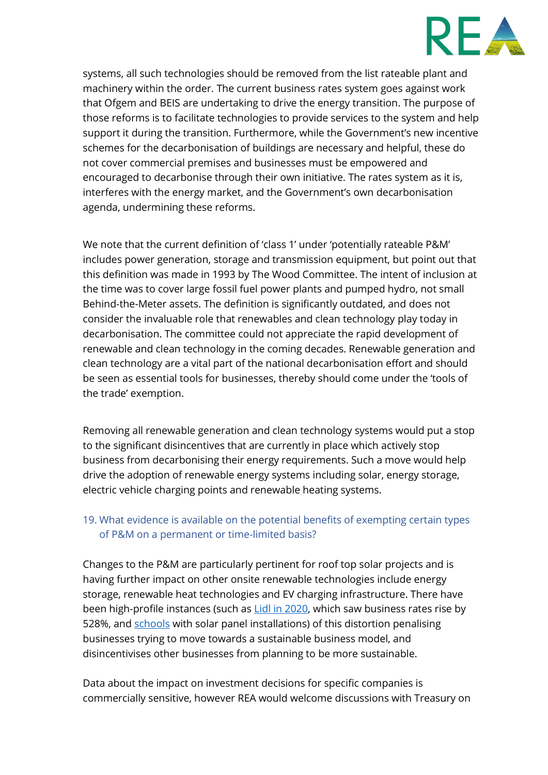

systems, all such technologies should be removed from the list rateable plant and machinery within the order. The current business rates system goes against work that Ofgem and BEIS are undertaking to drive the energy transition. The purpose of those reforms is to facilitate technologies to provide services to the system and help support it during the transition. Furthermore, while the Government's new incentive schemes for the decarbonisation of buildings are necessary and helpful, these do not cover commercial premises and businesses must be empowered and encouraged to decarbonise through their own initiative. The rates system as it is, interferes with the energy market, and the Government's own decarbonisation agenda, undermining these reforms.

We note that the current definition of 'class 1' under 'potentially rateable P&M' includes power generation, storage and transmission equipment, but point out that this definition was made in 1993 by The Wood Committee. The intent of inclusion at the time was to cover large fossil fuel power plants and pumped hydro, not small Behind-the-Meter assets. The definition is significantly outdated, and does not consider the invaluable role that renewables and clean technology play today in decarbonisation. The committee could not appreciate the rapid development of renewable and clean technology in the coming decades. Renewable generation and clean technology are a vital part of the national decarbonisation effort and should be seen as essential tools for businesses, thereby should come under the 'tools of the trade' exemption.

Removing all renewable generation and clean technology systems would put a stop to the significant disincentives that are currently in place which actively stop business from decarbonising their energy requirements. Such a move would help drive the adoption of renewable energy systems including solar, energy storage, electric vehicle charging points and renewable heating systems.

#### 19. What evidence is available on the potential benefits of exempting certain types of P&M on a permanent or time-limited basis?

Changes to the P&M are particularly pertinent for roof top solar projects and is having further impact on other onsite renewable technologies include energy storage, renewable heat technologies and EV charging infrastructure. There have been high-profile instances (such as [Lidl in 2020,](https://www.solarpowerportal.co.uk/news/lidl_sees_business_rates_jump_528_due_to_solar_valuation) which saw business rates rise by 528%, and [schools](https://www.theguardian.com/environment/2017/mar/06/solar-powered-schools-bill-business-rates-rise-england-wales) with solar panel installations) of this distortion penalising businesses trying to move towards a sustainable business model, and disincentivises other businesses from planning to be more sustainable.

Data about the impact on investment decisions for specific companies is commercially sensitive, however REA would welcome discussions with Treasury on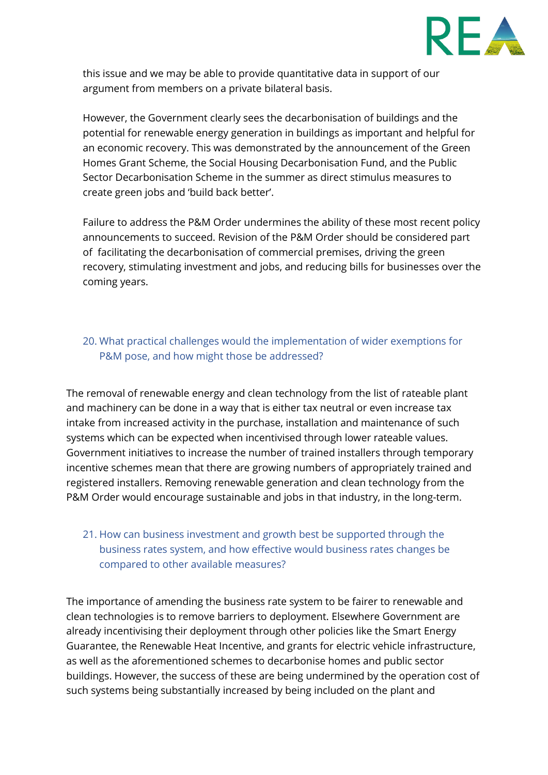

this issue and we may be able to provide quantitative data in support of our argument from members on a private bilateral basis.

However, the Government clearly sees the decarbonisation of buildings and the potential for renewable energy generation in buildings as important and helpful for an economic recovery. This was demonstrated by the announcement of the Green Homes Grant Scheme, the Social Housing Decarbonisation Fund, and the Public Sector Decarbonisation Scheme in the summer as direct stimulus measures to create green jobs and 'build back better'.

Failure to address the P&M Order undermines the ability of these most recent policy announcements to succeed. Revision of the P&M Order should be considered part of facilitating the decarbonisation of commercial premises, driving the green recovery, stimulating investment and jobs, and reducing bills for businesses over the coming years.

#### 20. What practical challenges would the implementation of wider exemptions for P&M pose, and how might those be addressed?

The removal of renewable energy and clean technology from the list of rateable plant and machinery can be done in a way that is either tax neutral or even increase tax intake from increased activity in the purchase, installation and maintenance of such systems which can be expected when incentivised through lower rateable values. Government initiatives to increase the number of trained installers through temporary incentive schemes mean that there are growing numbers of appropriately trained and registered installers. Removing renewable generation and clean technology from the P&M Order would encourage sustainable and jobs in that industry, in the long-term.

# 21. How can business investment and growth best be supported through the business rates system, and how effective would business rates changes be compared to other available measures?

The importance of amending the business rate system to be fairer to renewable and clean technologies is to remove barriers to deployment. Elsewhere Government are already incentivising their deployment through other policies like the Smart Energy Guarantee, the Renewable Heat Incentive, and grants for electric vehicle infrastructure, as well as the aforementioned schemes to decarbonise homes and public sector buildings. However, the success of these are being undermined by the operation cost of such systems being substantially increased by being included on the plant and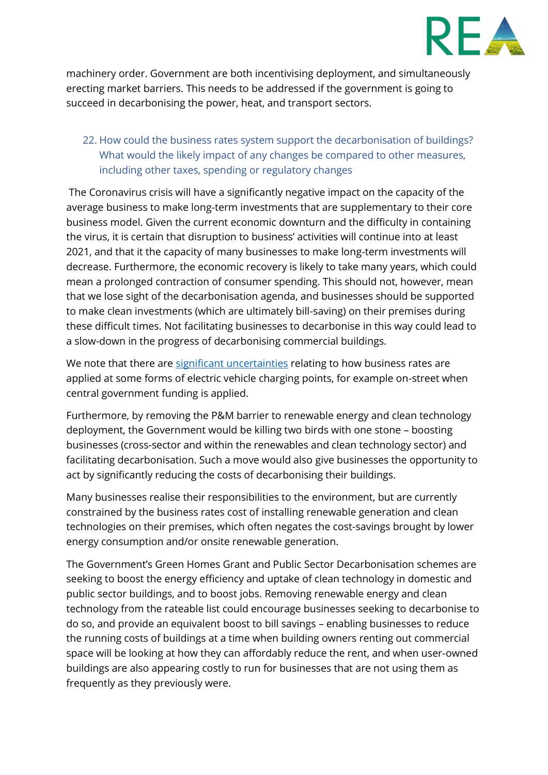

machinery order. Government are both incentivising deployment, and simultaneously erecting market barriers. This needs to be addressed if the government is going to succeed in decarbonising the power, heat, and transport sectors.

#### 22. How could the business rates system support the decarbonisation of buildings? What would the likely impact of any changes be compared to other measures, including other taxes, spending or regulatory changes

The Coronavirus crisis will have a significantly negative impact on the capacity of the average business to make long-term investments that are supplementary to their core business model. Given the current economic downturn and the difficulty in containing the virus, it is certain that disruption to business' activities will continue into at least 2021, and that it the capacity of many businesses to make long-term investments will decrease. Furthermore, the economic recovery is likely to take many years, which could mean a prolonged contraction of consumer spending. This should not, however, mean that we lose sight of the decarbonisation agenda, and businesses should be supported to make clean investments (which are ultimately bill-saving) on their premises during these difficult times. Not facilitating businesses to decarbonise in this way could lead to a slow-down in the progress of decarbonising commercial buildings.

We note that there are [significant uncertainties](https://property.altusgroup.com/wp-content/uploads/2020/05/Annual-Business-Rates-Review-May-2020-v1.1.pdf) relating to how business rates are applied at some forms of electric vehicle charging points, for example on-street when central government funding is applied.

Furthermore, by removing the P&M barrier to renewable energy and clean technology deployment, the Government would be killing two birds with one stone – boosting businesses (cross-sector and within the renewables and clean technology sector) and facilitating decarbonisation. Such a move would also give businesses the opportunity to act by significantly reducing the costs of decarbonising their buildings.

Many businesses realise their responsibilities to the environment, but are currently constrained by the business rates cost of installing renewable generation and clean technologies on their premises, which often negates the cost-savings brought by lower energy consumption and/or onsite renewable generation.

The Government's Green Homes Grant and Public Sector Decarbonisation schemes are seeking to boost the energy efficiency and uptake of clean technology in domestic and public sector buildings, and to boost jobs. Removing renewable energy and clean technology from the rateable list could encourage businesses seeking to decarbonise to do so, and provide an equivalent boost to bill savings – enabling businesses to reduce the running costs of buildings at a time when building owners renting out commercial space will be looking at how they can affordably reduce the rent, and when user-owned buildings are also appearing costly to run for businesses that are not using them as frequently as they previously were.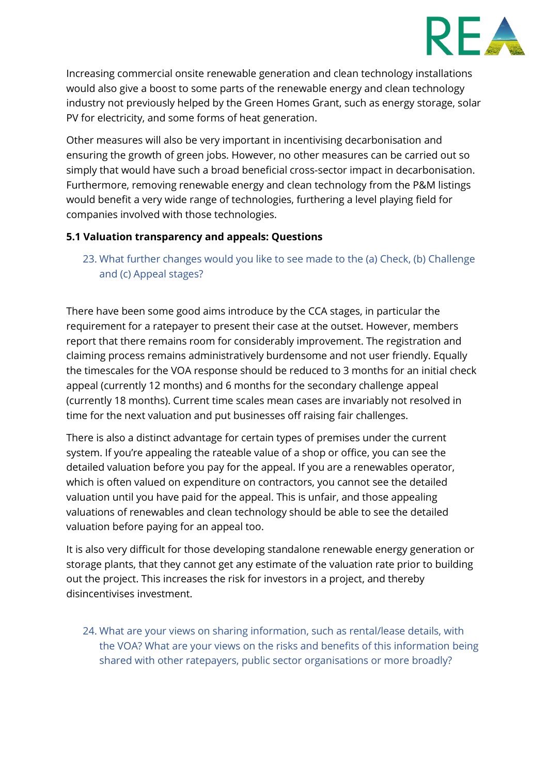

Increasing commercial onsite renewable generation and clean technology installations would also give a boost to some parts of the renewable energy and clean technology industry not previously helped by the Green Homes Grant, such as energy storage, solar PV for electricity, and some forms of heat generation.

Other measures will also be very important in incentivising decarbonisation and ensuring the growth of green jobs. However, no other measures can be carried out so simply that would have such a broad beneficial cross-sector impact in decarbonisation. Furthermore, removing renewable energy and clean technology from the P&M listings would benefit a very wide range of technologies, furthering a level playing field for companies involved with those technologies.

#### **5.1 Valuation transparency and appeals: Questions**

23. What further changes would you like to see made to the (a) Check, (b) Challenge and (c) Appeal stages?

There have been some good aims introduce by the CCA stages, in particular the requirement for a ratepayer to present their case at the outset. However, members report that there remains room for considerably improvement. The registration and claiming process remains administratively burdensome and not user friendly. Equally the timescales for the VOA response should be reduced to 3 months for an initial check appeal (currently 12 months) and 6 months for the secondary challenge appeal (currently 18 months). Current time scales mean cases are invariably not resolved in time for the next valuation and put businesses off raising fair challenges.

There is also a distinct advantage for certain types of premises under the current system. If you're appealing the rateable value of a shop or office, you can see the detailed valuation before you pay for the appeal. If you are a renewables operator, which is often valued on expenditure on contractors, you cannot see the detailed valuation until you have paid for the appeal. This is unfair, and those appealing valuations of renewables and clean technology should be able to see the detailed valuation before paying for an appeal too.

It is also very difficult for those developing standalone renewable energy generation or storage plants, that they cannot get any estimate of the valuation rate prior to building out the project. This increases the risk for investors in a project, and thereby disincentivises investment.

24. What are your views on sharing information, such as rental/lease details, with the VOA? What are your views on the risks and benefits of this information being shared with other ratepayers, public sector organisations or more broadly?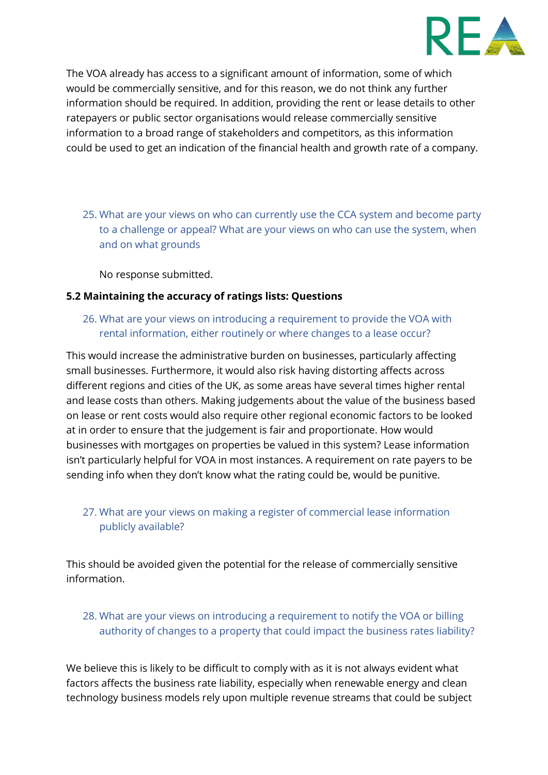

The VOA already has access to a significant amount of information, some of which would be commercially sensitive, and for this reason, we do not think any further information should be required. In addition, providing the rent or lease details to other ratepayers or public sector organisations would release commercially sensitive information to a broad range of stakeholders and competitors, as this information could be used to get an indication of the financial health and growth rate of a company.

25. What are your views on who can currently use the CCA system and become party to a challenge or appeal? What are your views on who can use the system, when and on what grounds

No response submitted.

#### **5.2 Maintaining the accuracy of ratings lists: Questions**

26. What are your views on introducing a requirement to provide the VOA with rental information, either routinely or where changes to a lease occur?

This would increase the administrative burden on businesses, particularly affecting small businesses. Furthermore, it would also risk having distorting affects across different regions and cities of the UK, as some areas have several times higher rental and lease costs than others. Making judgements about the value of the business based on lease or rent costs would also require other regional economic factors to be looked at in order to ensure that the judgement is fair and proportionate. How would businesses with mortgages on properties be valued in this system? Lease information isn't particularly helpful for VOA in most instances. A requirement on rate payers to be sending info when they don't know what the rating could be, would be punitive.

# 27. What are your views on making a register of commercial lease information publicly available?

This should be avoided given the potential for the release of commercially sensitive information.

# 28. What are your views on introducing a requirement to notify the VOA or billing authority of changes to a property that could impact the business rates liability?

We believe this is likely to be difficult to comply with as it is not always evident what factors affects the business rate liability, especially when renewable energy and clean technology business models rely upon multiple revenue streams that could be subject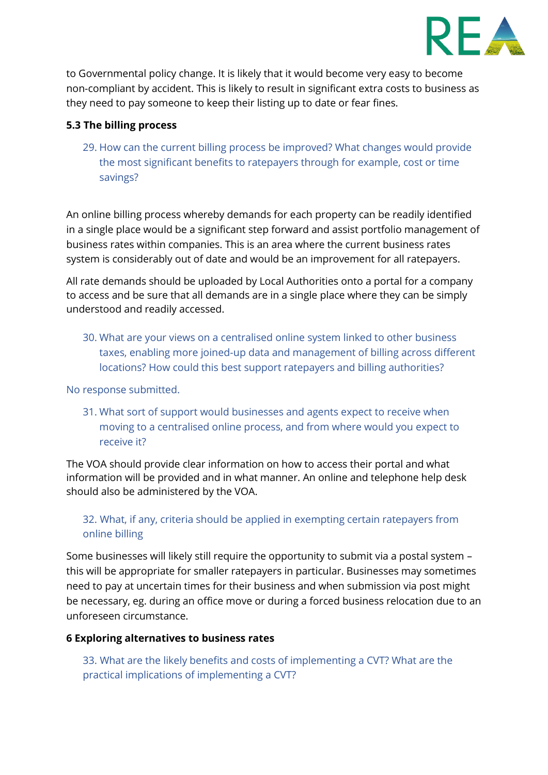

to Governmental policy change. It is likely that it would become very easy to become non-compliant by accident. This is likely to result in significant extra costs to business as they need to pay someone to keep their listing up to date or fear fines.

#### **5.3 The billing process**

29. How can the current billing process be improved? What changes would provide the most significant benefits to ratepayers through for example, cost or time savings?

An online billing process whereby demands for each property can be readily identified in a single place would be a significant step forward and assist portfolio management of business rates within companies. This is an area where the current business rates system is considerably out of date and would be an improvement for all ratepayers.

All rate demands should be uploaded by Local Authorities onto a portal for a company to access and be sure that all demands are in a single place where they can be simply understood and readily accessed.

30. What are your views on a centralised online system linked to other business taxes, enabling more joined-up data and management of billing across different locations? How could this best support ratepayers and billing authorities?

No response submitted.

31. What sort of support would businesses and agents expect to receive when moving to a centralised online process, and from where would you expect to receive it?

The VOA should provide clear information on how to access their portal and what information will be provided and in what manner. An online and telephone help desk should also be administered by the VOA.

# 32. What, if any, criteria should be applied in exempting certain ratepayers from online billing

Some businesses will likely still require the opportunity to submit via a postal system – this will be appropriate for smaller ratepayers in particular. Businesses may sometimes need to pay at uncertain times for their business and when submission via post might be necessary, eg. during an office move or during a forced business relocation due to an unforeseen circumstance.

#### **6 Exploring alternatives to business rates**

33. What are the likely benefits and costs of implementing a CVT? What are the practical implications of implementing a CVT?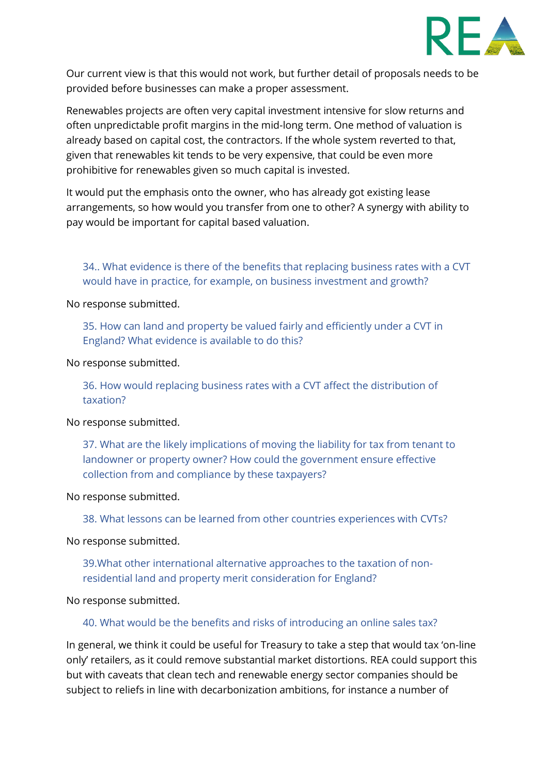

Our current view is that this would not work, but further detail of proposals needs to be provided before businesses can make a proper assessment.

Renewables projects are often very capital investment intensive for slow returns and often unpredictable profit margins in the mid-long term. One method of valuation is already based on capital cost, the contractors. If the whole system reverted to that, given that renewables kit tends to be very expensive, that could be even more prohibitive for renewables given so much capital is invested.

It would put the emphasis onto the owner, who has already got existing lease arrangements, so how would you transfer from one to other? A synergy with ability to pay would be important for capital based valuation.

34.. What evidence is there of the benefits that replacing business rates with a CVT would have in practice, for example, on business investment and growth?

No response submitted.

35. How can land and property be valued fairly and efficiently under a CVT in England? What evidence is available to do this?

No response submitted.

36. How would replacing business rates with a CVT affect the distribution of taxation?

No response submitted.

37. What are the likely implications of moving the liability for tax from tenant to landowner or property owner? How could the government ensure effective collection from and compliance by these taxpayers?

No response submitted.

38. What lessons can be learned from other countries experiences with CVTs?

No response submitted.

39.What other international alternative approaches to the taxation of nonresidential land and property merit consideration for England?

No response submitted.

40. What would be the benefits and risks of introducing an online sales tax?

In general, we think it could be useful for Treasury to take a step that would tax 'on-line only' retailers, as it could remove substantial market distortions. REA could support this but with caveats that clean tech and renewable energy sector companies should be subject to reliefs in line with decarbonization ambitions, for instance a number of